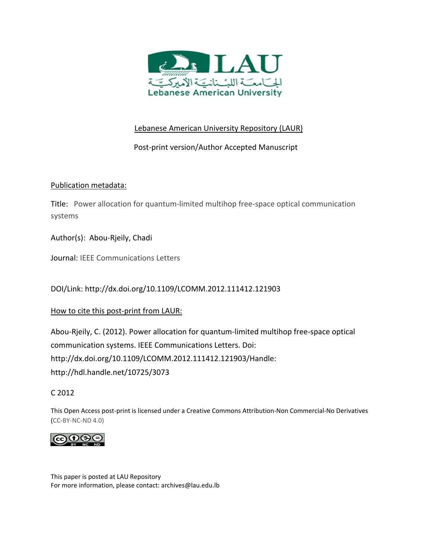

# Lebanese American University Repository (LAUR)

# Post‐print version/Author Accepted Manuscript

# Publication metadata:

Title: Power allocation for quantum‐limited multihop free‐space optical communication systems

Author(s): Abou‐Rjeily, Chadi

Journal: IEEE Communications Letters

DOI/Link: http://dx.doi.org/10.1109/LCOMM.2012.111412.121903

How to cite this post-print from LAUR:

Abou‐Rjeily, C. (2012). Power allocation for quantum‐limited multihop free‐space optical communication systems. IEEE Communications Letters. Doi: http://dx.doi.org/10.1109/LCOMM.2012.111412.121903/Handle: http://hdl.handle.net/10725/3073

C 2012

This Open Access post‐print is licensed under a Creative Commons Attribution‐Non Commercial‐No Derivatives (CC‐BY‐NC‐ND 4.0)



This paper is posted at LAU Repository For more information, please contact: archives@lau.edu.lb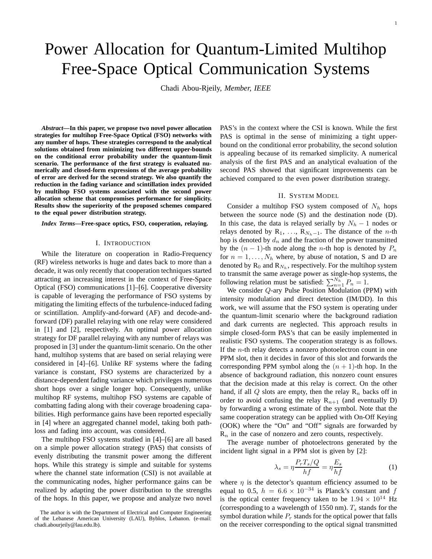# Power Allocation for Quantum-Limited Multihop Free-Space Optical Communication Systems

Chadi Abou-Rjeily, *Member, IEEE*

*Abstract***—In this paper, we propose two novel power allocation strategies for multihop Free-Space Optical (FSO) networks with any number of hops. These strategies correspond to the analytical solutions obtained from minimizing two different upper-bounds on the conditional error probability under the quantum-limit scenario. The performance of the first strategy is evaluated numerically and closed-form expressions of the average probability of error are derived for the second strategy. We also quantify the reduction in the fading variance and scintillation index provided by multihop FSO systems associated with the second power allocation scheme that compromises performance for simplicity. Results show the superiority of the proposed schemes compared to the equal power distribution strategy.**

*Index Terms***—Free-space optics, FSO, cooperation, relaying.**

## I. INTRODUCTION

While the literature on cooperation in Radio-Frequency (RF) wireless networks is huge and dates back to more than a decade, it was only recently that cooperation techniques started attracting an increasing interest in the context of Free-Space Optical (FSO) communications [1]–[6]. Cooperative diversity is capable of leveraging the performance of FSO systems by mitigating the limiting effects of the turbulence-induced fading or scintillation. Amplify-and-forward (AF) and decode-andforward (DF) parallel relaying with one relay were considered in [1] and [2], respectively. An optimal power allocation strategy for DF parallel relaying with any number of relays was proposed in [3] under the quantum-limit scenario. On the other hand, multihop systems that are based on serial relaying were considered in [4]–[6]. Unlike RF systems where the fading variance is constant, FSO systems are characterized by a distance-dependent fading variance which privileges numerous short hops over a single longer hop. Consequently, unlike multihop RF systems, multihop FSO systems are capable of combatting fading along with their coverage broadening capabilities. High performance gains have been reported especially in [4] where an aggregated channel model, taking both pathloss and fading into account, was considered.

The multihop FSO systems studied in [4]–[6] are all based on a simple power allocation strategy (PAS) that consists of evenly distributing the transmit power among the different hops. While this strategy is simple and suitable for systems where the channel state information (CSI) is not available at the communicating nodes, higher performance gains can be realized by adapting the power distribution to the strengths of the hops. In this paper, we propose and analyze two novel PAS's in the context where the CSI is known. While the first PAS is optimal in the sense of minimizing a tight upperbound on the conditional error probability, the second solution is appealing because of its remarked simplicity. A numerical analysis of the first PAS and an analytical evaluation of the second PAS showed that significant improvements can be achieved compared to the even power distribution strategy.

#### II. SYSTEM MODEL

Consider a multihop FSO system composed of  $N_h$  hops between the source node (S) and the destination node (D). In this case, the data is relayed serially by  $N_h - 1$  nodes or relays denoted by R<sub>1</sub>, ..., R<sub>Nh</sub>−1. The distance of the *n*-th hop is denoted by  $d_n$  and the fraction of the power transmitted by the  $(n - 1)$ -th node along the *n*-th hop is denoted by  $P_n$ for  $n = 1, \ldots, N_h$  where, by abuse of notation, S and D are denoted by  $R_0$  and  $R_{N_h}$ , respectively. For the multihop system to transmit the same average power as single-hop systems, the following relation must be satisfied:  $\sum_{n=1}^{N_h} P_n = 1$ .

We consider Q-ary Pulse Position Modulation (PPM) with intensity modulation and direct detection (IM/DD). In this work, we will assume that the FSO system is operating under the quantum-limit scenario where the background radiation and dark currents are neglected. This approach results in simple closed-form PAS's that can be easily implemented in realistic FSO systems. The cooperation strategy is as follows. If the n-th relay detects a nonzero photoelectron count in one PPM slot, then it decides in favor of this slot and forwards the corresponding PPM symbol along the  $(n + 1)$ -th hop. In the absence of background radiation, this nonzero count ensures that the decision made at this relay is correct. On the other hand, if all  $Q$  slots are empty, then the relay  $R_n$  backs off in order to avoid confusing the relay  $R_{n+1}$  (and eventually D) by forwarding a wrong estimate of the symbol. Note that the same cooperation strategy can be applied with On-Off Keying (OOK) where the "On" and "Off" signals are forwarded by  $R_n$  in the case of nonzero and zero counts, respectively.

The average number of photoelectrons generated by the incident light signal in a PPM slot is given by [2]:

$$
\lambda_s = \eta \frac{P_r T_s / Q}{hf} = \eta \frac{E_s}{hf} \tag{1}
$$

where  $\eta$  is the detector's quantum efficiency assumed to be equal to 0.5,  $h = 6.6 \times 10^{-34}$  is Planck's constant and f is the optical center frequency taken to be  $1.94 \times 10^{14}$  Hz (corresponding to a wavelength of 1550 nm).  $T_s$  stands for the symbol duration while  $P_r$  stands for the optical power that falls on the receiver corresponding to the optical signal transmitted

The author is with the Department of Electrical and Computer Engineering of the Lebanese American University (LAU), Byblos, Lebanon. (e-mail: chadi.abourjeily@lau.edu.lb).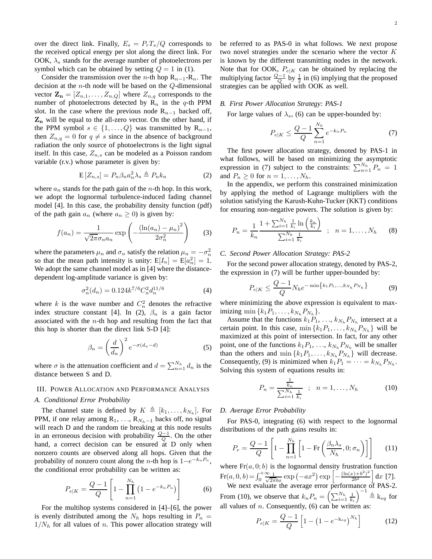over the direct link. Finally,  $E_s = P_rT_s/Q$  corresponds to the received optical energy per slot along the direct link. For OOK,  $\lambda_s$  stands for the average number of photoelectrons per symbol which can be obtained by setting  $Q = 1$  in (1).

Consider the transmission over the *n*-th hop  $R_{n-1}-R_n$ . The decision at the  $n$ -th node will be based on the  $Q$ -dimensional vector  $\mathbf{Z_n} = [Z_{n,1}, \dots, Z_{n,Q}]$  where  $Z_{n,q}$  corresponds to the number of photoelectrons detected by  $R_n$  in the q-th PPM slot. In the case where the previous node  $R_{n-1}$  backed off,  $\mathbf{Z}_n$  will be equal to the all-zero vector. On the other hand, if the PPM symbol  $s \in \{1, \ldots, Q\}$  was transmitted by  $\mathbb{R}_{n-1}$ , then  $Z_{n,q} = 0$  for  $q \neq s$  since in the absence of background radiation the only source of photoelectrons is the light signal itself. In this case,  $Z_{n,s}$  can be modeled as a Poisson random variable (r.v.) whose parameter is given by:

$$
E[Z_{n,s}] = P_n \beta_n a_n^2 \lambda_s \triangleq P_n k_n \tag{2}
$$

where  $a_n$  stands for the path gain of the *n*-th hop. In this work, we adopt the lognormal turbulence-induced fading channel model [4]. In this case, the probability density function (pdf) of the path gain  $a_n$  (where  $a_n \geq 0$ ) is given by:

$$
f(a_n) = \frac{1}{\sqrt{2\pi}\sigma_n a_n} \exp\left(-\frac{(\ln(a_n) - \mu_n)^2}{2\sigma_n^2}\right) \tag{3}
$$

where the parameters  $\mu_n$  and  $\sigma_n$  satisfy the relation  $\mu_n = -\sigma_n^2$ so that the mean path intensity is unity:  $E[I_n] = E[a_n^2] = 1$ . We adopt the same channel model as in [4] where the distancedependent log-amplitude variance is given by:

$$
\sigma_n^2(d_n) = 0.124k^{7/6} C_n^2 d_n^{11/6} \tag{4}
$$

where k is the wave number and  $C_n^2$  denotes the refractive index structure constant [4]. In (2),  $\beta_n$  is a gain factor associated with the  $n$ -th hop and resulting from the fact that this hop is shorter than the direct link S-D [4]:

$$
\beta_n = \left(\frac{d}{d_n}\right)^2 e^{-\sigma(d_n - d)}\tag{5}
$$

where  $\sigma$  is the attenuation coefficient and  $d = \sum_{n=1}^{N_h} d_n$  is the distance between S and D.

#### III. POWER ALLOCATION AND PERFORMANCE ANALYSIS

#### *A. Conditional Error Probability*

The channel state is defined by  $K \triangleq [k_1, \ldots, k_{N_h}]$ . For PPM, if one relay among R<sub>1</sub>, ..., R<sub>Nh</sub>−1 backs off, no signal will reach D and the random tie breaking at this node results in an erroneous decision with probability  $\frac{Q-1}{Q}$ . On the other hand, a correct decision can be ensured at D only when nonzero counts are observed along all hops. Given that the probability of nonzero count along the *n*-th hop is  $1-e^{-k_nP_n}$ , the conditional error probability can be written as:

$$
P_{e|K} = \frac{Q-1}{Q} \left[ 1 - \prod_{n=1}^{N_h} \left( 1 - e^{-k_n P_n} \right) \right]
$$
 (6)

For the multihop systems considered in [4]–[6], the power is evenly distributed among the  $N_h$  hops resulting in  $P_n =$  $1/N_h$  for all values of n. This power allocation strategy will be referred to as PAS-0 in what follows. We next propose two novel strategies under the scenario where the vector K is known by the different transmitting nodes in the network. Note that for OOK,  $P_{e|K}$  can be obtained by replacing the multiplying factor  $\frac{Q-1}{Q}$  by  $\frac{1}{2}$  in (6) implying that the proposed strategies can be applied with OOK as well.

#### *B. First Power Allocation Strategy: PAS-1*

For large values of  $\lambda_s$ , (6) can be upper-bounded by:

$$
P_{e|K} \le \frac{Q-1}{Q} \sum_{n=1}^{N_h} e^{-k_n P_n}
$$
 (7)

The first power allocation strategy, denoted by PAS-1 in what follows, will be based on minimizing the asymptotic expression in (7) subject to the constraints:  $\sum_{n=1}^{N_h} P_n = 1$ and  $P_n \geq 0$  for  $n = 1, \ldots, N_h$ .

In the appendix, we perform this constrained minimization by applying the method of Lagrange multipliers with the solution satisfying the Karush-Kuhn-Tucker (KKT) conditions for ensuring non-negative powers. The solution is given by:

$$
P_n = \frac{1}{k_n} \frac{1 + \sum_{i=1}^{N_h} \frac{1}{k_i} \ln\left(\frac{k_n}{k_i}\right)}{\sum_{i=1}^{N_h} \frac{1}{k_i}} \; ; \; n = 1, \dots, N_h \qquad (8)
$$

## *C. Second Power Allocation Strategy: PAS-2*

For the second power allocation strategy, denoted by PAS-2, the expression in (7) will be further upper-bounded by:

$$
P_{e|K} \le \frac{Q-1}{Q} N_h e^{-\min\{k_1 P_1, \dots, k_{N_h} P_{N_h}\}} \tag{9}
$$

where minimizing the above expression is equivalent to maximizing min  $\{k_1P_1, \ldots, k_{N_h}P_{N_h}\}.$ 

Assume that the functions  $k_1 P_1, \ldots, k_{N_h} P_{N_h}$  intersect at a certain point. In this case,  $\min\{k_1 P_1, \ldots, k_{N_h} P_{N_h}\}\$  will be maximized at this point of intersection. In fact, for any other point, one of the functions  $k_1P_1, \ldots, k_{N_h}P_{N_h}$  will be smaller than the others and  $\min\{k_1P_1,\ldots,k_{N_h}P_{N_h}\}\$  will decrease. Consequently, (9) is minimized when  $k_1 P_1 = \cdots = k_{N_h} P_{N_h}$ . Solving this system of equations results in:

$$
P_n = \frac{\frac{1}{k_n}}{\sum_{i=1}^{N_h} \frac{1}{k_i}} \; ; \; n = 1, \dots, N_h \tag{10}
$$

#### *D. Average Error Probability*

For PAS-0, integrating (6) with respect to the lognormal distributions of the path gains results in:

$$
P_e = \frac{Q - 1}{Q} \left[ 1 - \prod_{n=1}^{N_h} \left[ 1 - \text{Fr}\left(\frac{\beta_n \lambda_s}{N_h}, 0; \sigma_n\right) \right] \right] \tag{11}
$$

where  $Fr(a, 0; b)$  is the lognormal density frustration function  $\text{Fr}(a, 0, b) = \int_0^b \frac{\infty}{\sqrt{2\pi}bx} \exp(-ax^2) \exp\left[-\frac{(\ln(x)+b^2)^2}{2b^2}\right]$  $\frac{(x)+b^2)^2}{2b^2}$  dx [7].

We next evaluate the average error performance of PAS-2. From (10), we observe that  $k_n P_n = \left(\sum_{i=1}^{N_h} \frac{1}{k_i}\right)^{-1} \triangleq k_{eq}$  for all values of *n*. Consequently, (6) can be written as:

$$
P_{e|K} = \frac{Q-1}{Q} \left[ 1 - \left( 1 - e^{-k_{eq}} \right)^{N_h} \right] \tag{12}
$$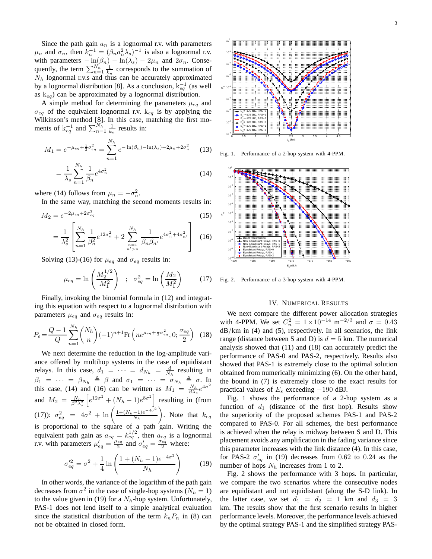Since the path gain  $a_n$  is a lognormal r.v. with parameters  $\mu_n$  and  $\sigma_n$ , then  $k_n^{-1} = (\beta_n a_n^2 \lambda_s)^{-1}$  is also a lognormal r.v. with parameters  $-\ln(\beta_n) - \ln(\lambda_s) - 2\mu_n$  and  $2\sigma_n$ . Consequently, the term  $\sum_{n=1}^{N_h} \frac{1}{k_n}$  corresponds to the summation of  $N_h$  lognormal r.v.s and thus can be accurately approximated by a lognormal distribution [8]. As a conclusion,  $k_{eq}^{-1}$  (as well as  $k_{eq}$ ) can be approximated by a lognormal distribution.

A simple method for determining the parameters  $\mu_{eq}$  and  $\sigma_{eq}$  of the equivalent lognormal r.v.  $k_{eq}$  is by applying the Wilkinson's method [8]. In this case, matching the first moments of  $k_{eq}^{-1}$  and  $\sum_{n=1}^{N_h} \frac{1}{k_n}$  results in:

$$
M_1 = e^{-\mu_{eq} + \frac{1}{2}\sigma_{eq}^2} = \sum_{n=1}^{N_h} e^{-\ln(\beta_n) - \ln(\lambda_s) - 2\mu_n + 2\sigma_n^2}
$$
 (13)

$$
=\frac{1}{\lambda_s}\sum_{n=1}^{N_h}\frac{1}{\beta_n}e^{4\sigma_n^2}
$$
\n(14)

where (14) follows from  $\mu_n = -\sigma_n^2$ .

In the same way, matching the second moments results in:

$$
M_2 = e^{-2\mu_{eq} + 2\sigma_{eq}^2}
$$
 (15)

$$
= \frac{1}{\lambda_s^2} \left[ \sum_{n=1}^{N_h} \frac{1}{\beta_n^2} e^{i 2\sigma_n^2} + 2 \sum_{\substack{n=1 \ n' > n}}^{N_h} \frac{1}{\beta_n \beta_{n'}} e^{4\sigma_n^2 + 4\sigma_{n'}^2} \right] \tag{16}
$$

Solving (13)-(16) for  $\mu_{eq}$  and  $\sigma_{eq}$  results in:

$$
\mu_{eq} = \ln\left(\frac{M_2^{1/2}}{M_1^2}\right) \; ; \; \sigma_{eq}^2 = \ln\left(\frac{M_2}{M_1^2}\right) \qquad (17)
$$

Finally, invoking the binomial formula in (12) and integrating this equation with respect to a lognormal distribution with parameters  $\mu_{eq}$  and  $\sigma_{eq}$  results in:

$$
P_e = \frac{Q - 1}{Q} \sum_{n=1}^{N_h} {N_h \choose n} (-1)^{n+1} \text{Fr}\left( n e^{\mu_{eq} + \frac{1}{2}\sigma_{eq}^2}, 0; \frac{\sigma_{eq}}{2} \right)
$$
 (18)

We next determine the reduction in the log-amplitude variance offered by multihop systems in the case of equidistant relays. In this case,  $d_1 = \cdots = d_{N_h} = \frac{d}{N_h}$  resulting in  $\beta_1 = \cdots = \beta_{N_h} \triangleq \beta$  and  $\sigma_1 = \cdots = \sigma_{N_h} \triangleq \sigma$ . In this case, (14) and (16) can be written as  $M_1 = \frac{N_h}{\beta \lambda_s} e^{4\sigma^2}$ and  $M_2 = \frac{N_h}{\beta^2 \lambda_s^2} \left[ e^{12\sigma^2} + (N_h - 1)e^{8\sigma^2} \right]$  resulting in (from (17)):  $\sigma_{eq}^2 = 4\sigma^2 + \ln\left(\frac{1 + (N_h - 1)e^{-4\sigma^2}}{N_h}\right)$  $N_h$ ). Note that  $k_{eq}$ is proportional to the square of a path gain. Writing the equivalent path gain as  $a_{eq} = k_{eq}^{1/2}$ , then  $a_{eq}$  is a lognormal r.v. with parameters  $\mu'_{eq} = \frac{\mu_{eq}}{2}$  $\frac{\sigma_{eq}}{2}$  and  $\sigma'_{eq} = \frac{\sigma_{eq}}{2}$  where:

$$
\sigma_{eq}^{\prime 2} = \sigma^2 + \frac{1}{4} \ln \left( \frac{1 + (N_h - 1)e^{-4\sigma^2}}{N_h} \right) \tag{19}
$$

In other words, the variance of the logarithm of the path gain decreases from  $\sigma^2$  in the case of single-hop systems ( $N_h = 1$ ) to the value given in (19) for a  $N<sub>h</sub>$ -hop system. Unfortunately, PAS-1 does not lend itself to a simple analytical evaluation since the statistical distribution of the term  $k_n P_n$  in (8) can not be obtained in closed form.



Fig. 1. Performance of a 2-hop system with 4-PPM.



Fig. 2. Performance of a 3-hop system with 4-PPM.

## IV. NUMERICAL RESULTS

We next compare the different power allocation strategies with 4-PPM. We set  $C_n^2 = 1 \times 10^{-14} \text{ m}^{-2/3}$  and  $\sigma = 0.43$  $dB/km$  in (4) and (5), respectively. In all scenarios, the link range (distance between S and D) is  $d = 5$  km. The numerical analysis showed that (11) and (18) can accurately predict the performance of PAS-0 and PAS-2, respectively. Results also showed that PAS-1 is extremely close to the optimal solution obtained from numerically minimizing (6). On the other hand, the bound in (7) is extremely close to the exact results for practical values of  $E_s$  exceeding  $-190$  dBJ.

Fig. 1 shows the performance of a 2-hop system as a function of  $d_1$  (distance of the first hop). Results show the superiority of the proposed schemes PAS-1 and PAS-2 compared to PAS-0. For all schemes, the best performance is achieved when the relay is midway between S and D. This placement avoids any amplification in the fading variance since this parameter increases with the link distance (4). In this case, for PAS-2  $\sigma'_{eq}$  in (19) decreases from 0.62 to 0.24 as the number of hops  $N_h$  increases from 1 to 2.

Fig. 2 shows the performance with 3 hops. In particular, we compare the two scenarios where the consecutive nodes are equidistant and not equidistant (along the S-D link). In the latter case, we set  $d_1 = d_2 = 1$  km and  $d_3 = 3$ km. The results show that the first scenario results in higher performance levels. Moreover, the performance levels achieved by the optimal strategy PAS-1 and the simplified strategy PAS-